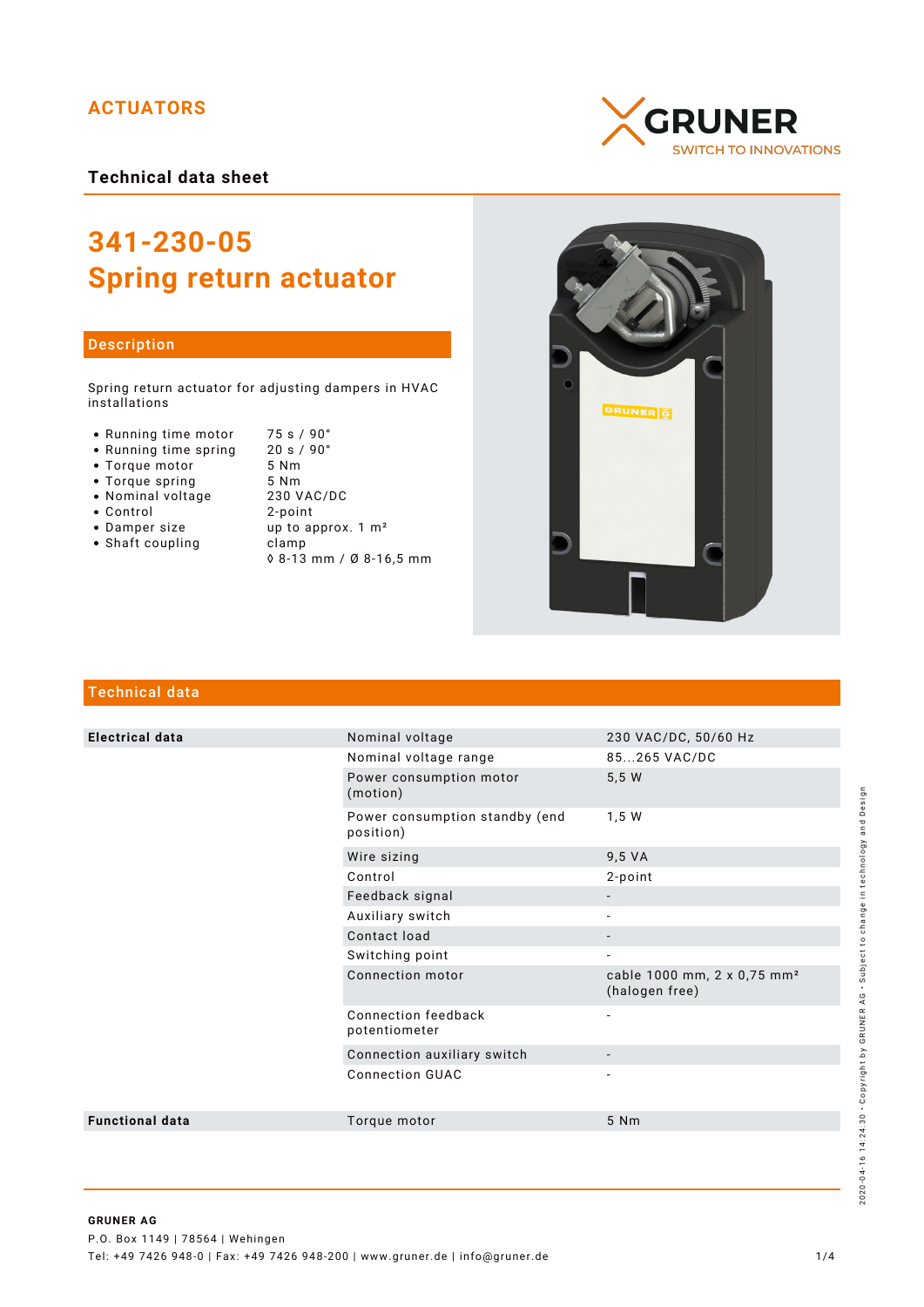# **ACTUATORS**

**Technical data sheet**

# **341-230-05 Spring return actuator**

### Description

Spring return actuator for adjusting dampers in HVAC installations

- Running time motor 75 s / 90°<br>• Running time spring 20 s / 90°
- Running time spring 20 s /<br>• Torque motor 5 Nm
- Torque motor 5 Nm<br>• Torque spring 5 Nm
- Torque spring 5 Nm<br>• Nominal voltage 230 VAC/DC
- Nominal voltage
- -
- Shaft coupling becamp
- Control 2-point up to approx.  $1 \text{ m}^2$ 
	- ◊ 8-13 mm / Ø 8-16,5 mm





# Technical data

| <b>Electrical data</b> | Nominal voltage                             | 230 VAC/DC, 50/60 Hz                                      |
|------------------------|---------------------------------------------|-----------------------------------------------------------|
|                        | Nominal voltage range                       | 85265 VAC/DC                                              |
|                        | Power consumption motor<br>(motion)         | 5,5 W                                                     |
|                        | Power consumption standby (end<br>position) | 1,5 W                                                     |
|                        | Wire sizing                                 | 9,5 VA                                                    |
|                        | Control                                     | 2-point                                                   |
|                        | Feedback signal                             |                                                           |
|                        | Auxiliary switch                            |                                                           |
|                        | Contact load                                |                                                           |
|                        | Switching point                             | $\overline{\phantom{a}}$                                  |
|                        | Connection motor                            | cable 1000 mm, 2 x 0,75 mm <sup>2</sup><br>(halogen free) |
|                        | Connection feedback<br>potentiometer        | $\overline{\phantom{a}}$                                  |
|                        | Connection auxiliary switch                 |                                                           |
|                        | <b>Connection GUAC</b>                      |                                                           |
| <b>Functional data</b> | Torque motor                                | 5 Nm                                                      |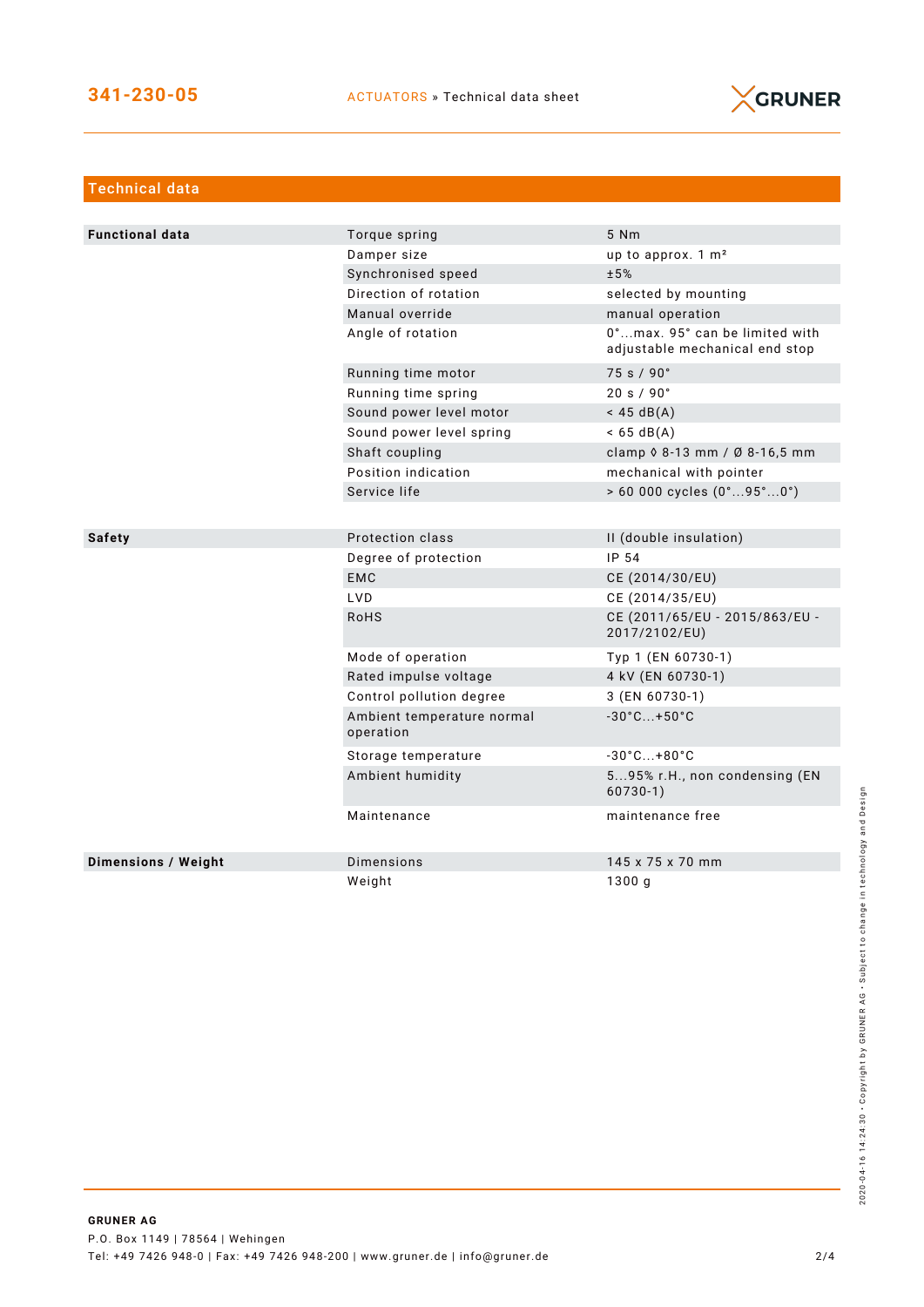

| <b>Technical data</b>  |                                         |                                                                  |
|------------------------|-----------------------------------------|------------------------------------------------------------------|
|                        |                                         |                                                                  |
| <b>Functional data</b> | Torque spring                           | 5 Nm                                                             |
|                        | Damper size                             | up to approx. 1 m <sup>2</sup>                                   |
|                        | Synchronised speed                      | ±5%                                                              |
|                        | Direction of rotation                   | selected by mounting                                             |
|                        | Manual override                         | manual operation                                                 |
|                        | Angle of rotation                       | 0°max. 95° can be limited with<br>adjustable mechanical end stop |
|                        | Running time motor                      | 75 s / 90°                                                       |
|                        | Running time spring                     | 20 s / 90°                                                       |
|                        | Sound power level motor                 | $<$ 45 dB(A)                                                     |
|                        | Sound power level spring                | $< 65 \text{ dB(A)}$                                             |
|                        | Shaft coupling                          | clamp 0 8-13 mm / Ø 8-16,5 mm                                    |
|                        | Position indication                     | mechanical with pointer                                          |
|                        | Service life                            | $> 60000$ cycles $(0^{\circ}95^{\circ}0^{\circ})$                |
|                        |                                         |                                                                  |
| <b>Safety</b>          | Protection class                        | II (double insulation)                                           |
|                        | Degree of protection                    | IP 54                                                            |
|                        | <b>EMC</b>                              | CE (2014/30/EU)                                                  |
|                        | LVD                                     | CE (2014/35/EU)                                                  |
|                        | <b>RoHS</b>                             | CE (2011/65/EU - 2015/863/EU -<br>2017/2102/EU)                  |
|                        | Mode of operation                       | Typ 1 (EN 60730-1)                                               |
|                        | Rated impulse voltage                   | 4 kV (EN 60730-1)                                                |
|                        | Control pollution degree                | 3 (EN 60730-1)                                                   |
|                        | Ambient temperature normal<br>operation | $-30^{\circ}$ C +50 $^{\circ}$ C                                 |
|                        | Storage temperature                     | $-30^{\circ}$ C +80 $^{\circ}$ C                                 |
|                        | Ambient humidity                        | 595% r.H., non condensing (EN<br>$60730-1)$                      |
|                        | Maintenance                             | maintenance free                                                 |
| Dimensions / Weight    | Dimensions                              | 145 x 75 x 70 mm                                                 |
|                        | Weight                                  | 1300q                                                            |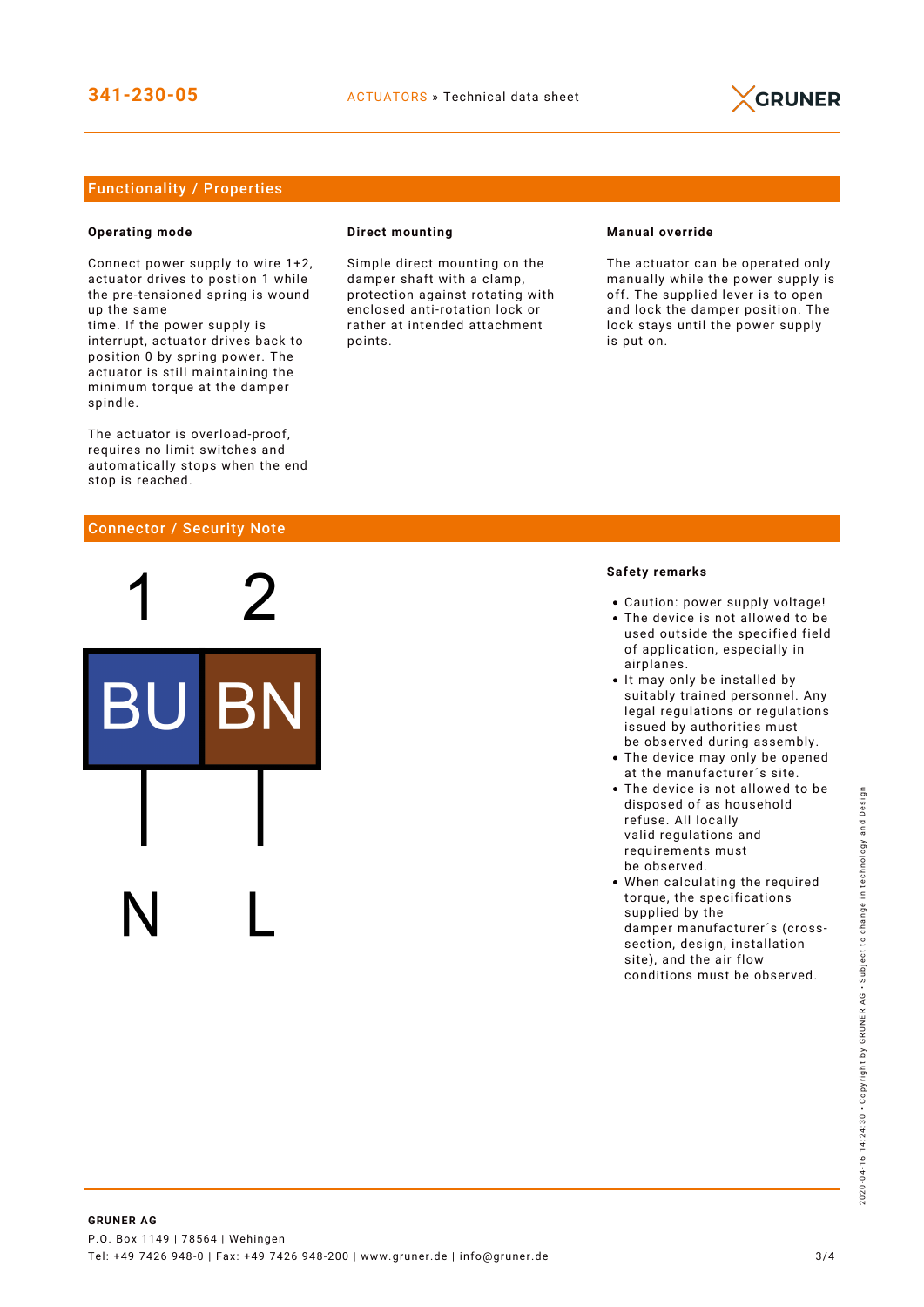

## Functionality / Properties

#### **Operating mode**

Connect power supply to wire 1+2, actuator drives to postion 1 while the pre-tensioned spring is wound up the same

time. If the power supply is interrupt, actuator drives back to position 0 by spring power. The actuator is still maintaining the minimum torque at the damper spindle.

The actuator is overload-proof, requires no limit switches and automatically stops when the end stop is reached.

#### Connector / Security Note

#### **Direct mounting**

Simple direct mounting on the damper shaft with a clamp, protection against rotating with enclosed anti-rotation lock or rather at intended attachment points.

#### **Manual override**

The actuator can be operated only manually while the power supply is off. The supplied lever is to open and lock the damper position. The lock stays until the power supply is put on.

#### **Safety remarks**

- Caution: power supply voltage!
- The device is not allowed to be used outside the specified field of application, especially in airplanes.
- It may only be installed by suitably trained personnel. Any legal regulations or regulations issued by authorities must be observed during assembly.
- The device may only be opened at the manufacturer´s site.
- The device is not allowed to be disposed of as household refuse. All locally valid regulations and requirements must be observed.
- When calculating the required torque, the specifications supplied by the damper manufacturer´s (crosssection, design, installation site), and the air flow conditions must be observed.